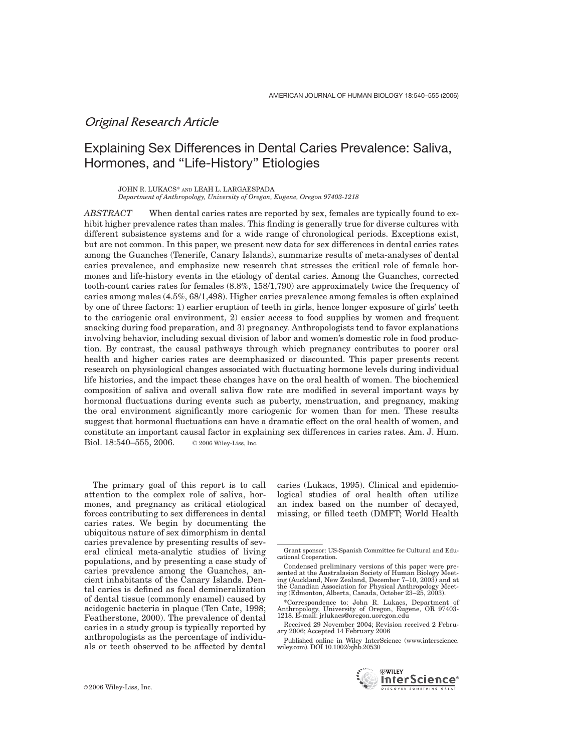## Original Research Article

# Explaining Sex Differences in Dental Caries Prevalence: Saliva, Hormones, and ''Life-History'' Etiologies

JOHN R. LUKACS\* AND LEAH L. LARGAESPADA Department of Anthropology, University of Oregon, Eugene, Oregon 97403-1218

ABSTRACT When dental caries rates are reported by sex, females are typically found to exhibit higher prevalence rates than males. This finding is generally true for diverse cultures with different subsistence systems and for a wide range of chronological periods. Exceptions exist, but are not common. In this paper, we present new data for sex differences in dental caries rates among the Guanches (Tenerife, Canary Islands), summarize results of meta-analyses of dental caries prevalence, and emphasize new research that stresses the critical role of female hormones and life-history events in the etiology of dental caries. Among the Guanches, corrected tooth-count caries rates for females (8.8%, 158/1,790) are approximately twice the frequency of caries among males (4.5%, 68/1,498). Higher caries prevalence among females is often explained by one of three factors: 1) earlier eruption of teeth in girls, hence longer exposure of girls' teeth to the cariogenic oral environment, 2) easier access to food supplies by women and frequent snacking during food preparation, and 3) pregnancy. Anthropologists tend to favor explanations involving behavior, including sexual division of labor and women's domestic role in food production. By contrast, the causal pathways through which pregnancy contributes to poorer oral health and higher caries rates are deemphasized or discounted. This paper presents recent research on physiological changes associated with fluctuating hormone levels during individual life histories, and the impact these changes have on the oral health of women. The biochemical composition of saliva and overall saliva flow rate are modified in several important ways by hormonal fluctuations during events such as puberty, menstruation, and pregnancy, making the oral environment significantly more cariogenic for women than for men. These results suggest that hormonal fluctuations can have a dramatic effect on the oral health of women, and constitute an important causal factor in explaining sex differences in caries rates. Am. J. Hum. Biol. 18:540-555, 2006. © 2006 Wiley-Liss, Inc.

The primary goal of this report is to call attention to the complex role of saliva, hormones, and pregnancy as critical etiological forces contributing to sex differences in dental caries rates. We begin by documenting the ubiquitous nature of sex dimorphism in dental caries prevalence by presenting results of several clinical meta-analytic studies of living populations, and by presenting a case study of caries prevalence among the Guanches, ancient inhabitants of the Canary Islands. Dental caries is defined as focal demineralization of dental tissue (commonly enamel) caused by acidogenic bacteria in plaque (Ten Cate, 1998; Featherstone, 2000). The prevalence of dental caries in a study group is typically reported by anthropologists as the percentage of individuals or teeth observed to be affected by dental caries (Lukacs, 1995). Clinical and epidemiological studies of oral health often utilize an index based on the number of decayed, missing, or filled teeth (DMFT; World Health

Published online in Wiley InterScience (www.interscience. wiley.com). DOI 10.1002/ajhb.20530



Grant sponsor: US-Spanish Committee for Cultural and Educational Cooperation.

Condensed preliminary versions of this paper were presented at the Australasian Society of Human Biology Meet-ing (Auckland, New Zealand, December 7–10, 2003) and at the Canadian Association for Physical Anthropology Meeting (Edmonton, Alberta, Canada, October 23-25, 2003).

<sup>\*</sup>Correspondence to: John R. Lukacs, Department of Anthropology, University of Oregon, Eugene, OR 97403- 1218. E-mail: jrlukacs@oregon.uoregon.edu

Received 29 November 2004; Revision received 2 February 2006; Accepted 14 February 2006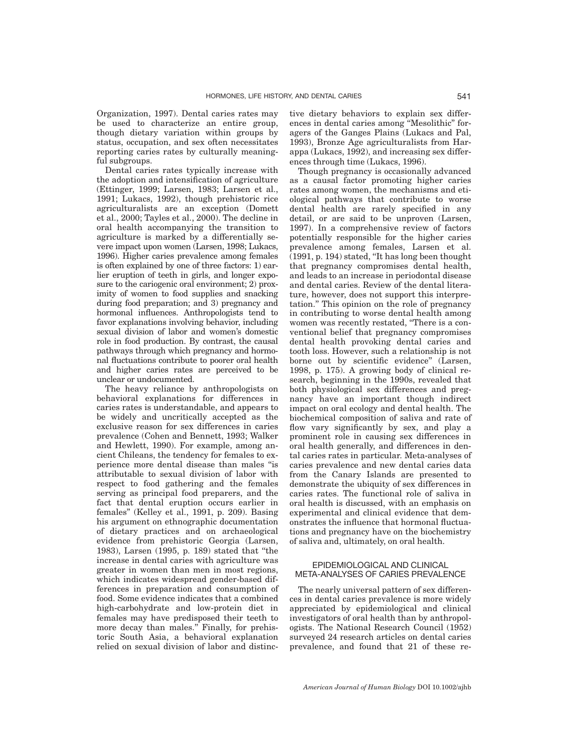Organization, 1997). Dental caries rates may be used to characterize an entire group, though dietary variation within groups by status, occupation, and sex often necessitates reporting caries rates by culturally meaningful subgroups.

Dental caries rates typically increase with the adoption and intensification of agriculture (Ettinger, 1999; Larsen, 1983; Larsen et al., 1991; Lukacs, 1992), though prehistoric rice agriculturalists are an exception (Domett et al., 2000; Tayles et al., 2000). The decline in oral health accompanying the transition to agriculture is marked by a differentially severe impact upon women (Larsen, 1998; Lukacs, 1996). Higher caries prevalence among females is often explained by one of three factors: 1) earlier eruption of teeth in girls, and longer exposure to the cariogenic oral environment; 2) proximity of women to food supplies and snacking during food preparation; and 3) pregnancy and hormonal influences. Anthropologists tend to favor explanations involving behavior, including sexual division of labor and women's domestic role in food production. By contrast, the causal pathways through which pregnancy and hormonal fluctuations contribute to poorer oral health and higher caries rates are perceived to be unclear or undocumented.

The heavy reliance by anthropologists on behavioral explanations for differences in caries rates is understandable, and appears to be widely and uncritically accepted as the exclusive reason for sex differences in caries prevalence (Cohen and Bennett, 1993; Walker and Hewlett, 1990). For example, among ancient Chileans, the tendency for females to experience more dental disease than males ''is attributable to sexual division of labor with respect to food gathering and the females serving as principal food preparers, and the fact that dental eruption occurs earlier in females'' (Kelley et al., 1991, p. 209). Basing his argument on ethnographic documentation of dietary practices and on archaeological evidence from prehistoric Georgia (Larsen, 1983), Larsen (1995, p. 189) stated that ''the increase in dental caries with agriculture was greater in women than men in most regions, which indicates widespread gender-based differences in preparation and consumption of food. Some evidence indicates that a combined high-carbohydrate and low-protein diet in females may have predisposed their teeth to more decay than males.'' Finally, for prehistoric South Asia, a behavioral explanation relied on sexual division of labor and distinctive dietary behaviors to explain sex differences in dental caries among ''Mesolithic'' foragers of the Ganges Plains (Lukacs and Pal, 1993), Bronze Age agriculturalists from Harappa (Lukacs, 1992), and increasing sex differences through time (Lukacs, 1996).

Though pregnancy is occasionally advanced as a causal factor promoting higher caries rates among women, the mechanisms and etiological pathways that contribute to worse dental health are rarely specified in any detail, or are said to be unproven (Larsen, 1997). In a comprehensive review of factors potentially responsible for the higher caries prevalence among females, Larsen et al.  $(1991, p. 194)$  stated, "It has long been thought that pregnancy compromises dental health, and leads to an increase in periodontal disease and dental caries. Review of the dental literature, however, does not support this interpretation.'' This opinion on the role of pregnancy in contributing to worse dental health among women was recently restated, ''There is a conventional belief that pregnancy compromises dental health provoking dental caries and tooth loss. However, such a relationship is not borne out by scientific evidence'' (Larsen, 1998, p. 175). A growing body of clinical research, beginning in the 1990s, revealed that both physiological sex differences and pregnancy have an important though indirect impact on oral ecology and dental health. The biochemical composition of saliva and rate of flow vary significantly by sex, and play a prominent role in causing sex differences in oral health generally, and differences in dental caries rates in particular. Meta-analyses of caries prevalence and new dental caries data from the Canary Islands are presented to demonstrate the ubiquity of sex differences in caries rates. The functional role of saliva in oral health is discussed, with an emphasis on experimental and clinical evidence that demonstrates the influence that hormonal fluctuations and pregnancy have on the biochemistry of saliva and, ultimately, on oral health.

## EPIDEMIOLOGICAL AND CLINICAL META-ANALYSES OF CARIES PREVALENCE

The nearly universal pattern of sex differences in dental caries prevalence is more widely appreciated by epidemiological and clinical investigators of oral health than by anthropologists. The National Research Council (1952) surveyed 24 research articles on dental caries prevalence, and found that 21 of these re-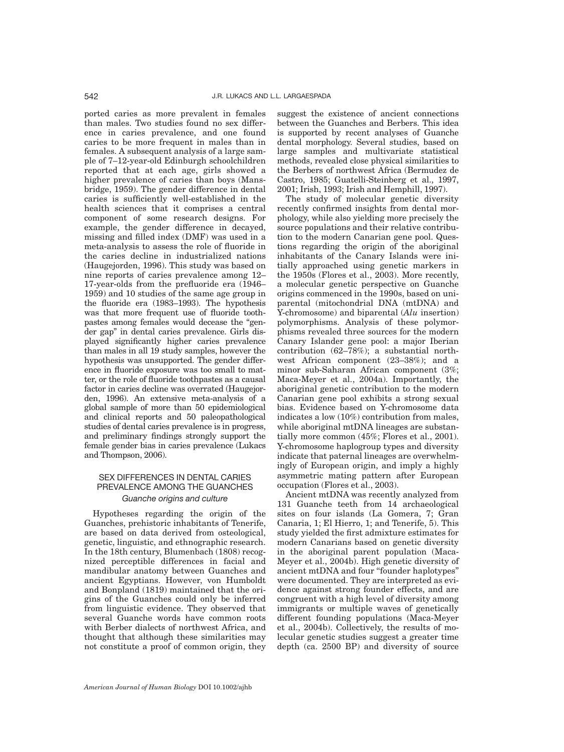ported caries as more prevalent in females than males. Two studies found no sex difference in caries prevalence, and one found caries to be more frequent in males than in females. A subsequent analysis of a large sample of 7–12-year-old Edinburgh schoolchildren reported that at each age, girls showed a higher prevalence of caries than boys (Mansbridge, 1959). The gender difference in dental caries is sufficiently well-established in the health sciences that it comprises a central component of some research designs. For example, the gender difference in decayed, missing and filled index (DMF) was used in a meta-analysis to assess the role of fluoride in the caries decline in industrialized nations (Haugejorden, 1996). This study was based on nine reports of caries prevalence among 12– 17-year-olds from the prefluoride era (1946– 1959) and 10 studies of the same age group in the fluoride era (1983–1993). The hypothesis was that more frequent use of fluoride toothpastes among females would decease the ''gender gap'' in dental caries prevalence. Girls displayed significantly higher caries prevalence than males in all 19 study samples, however the hypothesis was unsupported. The gender difference in fluoride exposure was too small to matter, or the role of fluoride toothpastes as a causal factor in caries decline was overrated (Haugejorden, 1996). An extensive meta-analysis of a global sample of more than 50 epidemiological and clinical reports and 50 paleopathological studies of dental caries prevalence is in progress, and preliminary findings strongly support the female gender bias in caries prevalence (Lukacs and Thompson, 2006).

## SEX DIFFERENCES IN DENTAL CARIES PREVALENCE AMONG THE GUANCHES Guanche origins and culture

Hypotheses regarding the origin of the Guanches, prehistoric inhabitants of Tenerife, are based on data derived from osteological, genetic, linguistic, and ethnographic research. In the 18th century, Blumenbach (1808) recognized perceptible differences in facial and mandibular anatomy between Guanches and ancient Egyptians. However, von Humboldt and Bonpland (1819) maintained that the origins of the Guanches could only be inferred from linguistic evidence. They observed that several Guanche words have common roots with Berber dialects of northwest Africa, and thought that although these similarities may not constitute a proof of common origin, they

suggest the existence of ancient connections between the Guanches and Berbers. This idea is supported by recent analyses of Guanche dental morphology. Several studies, based on large samples and multivariate statistical methods, revealed close physical similarities to the Berbers of northwest Africa (Bermudez de Castro, 1985; Guatelli-Steinberg et al., 1997, 2001; Irish, 1993; Irish and Hemphill, 1997).

The study of molecular genetic diversity recently confirmed insights from dental morphology, while also yielding more precisely the source populations and their relative contribution to the modern Canarian gene pool. Questions regarding the origin of the aboriginal inhabitants of the Canary Islands were initially approached using genetic markers in the 1950s (Flores et al., 2003). More recently, a molecular genetic perspective on Guanche origins commenced in the 1990s, based on uniparental (mitochondrial DNA (mtDNA) and Y-chromosome) and biparental (Alu insertion) polymorphisms. Analysis of these polymorphisms revealed three sources for the modern Canary Islander gene pool: a major Iberian contribution (62–78%); a substantial northwest African component (23–38%); and a minor sub-Saharan African component (3%; Maca-Meyer et al., 2004a). Importantly, the aboriginal genetic contribution to the modern Canarian gene pool exhibits a strong sexual bias. Evidence based on Y-chromosome data indicates a low (10%) contribution from males, while aboriginal mtDNA lineages are substantially more common (45%; Flores et al., 2001). Y-chromosome haplogroup types and diversity indicate that paternal lineages are overwhelmingly of European origin, and imply a highly asymmetric mating pattern after European occupation (Flores et al., 2003).

Ancient mtDNA was recently analyzed from 131 Guanche teeth from 14 archaeological sites on four islands (La Gomera, 7; Gran Canaria, 1; El Hierro, 1; and Tenerife, 5). This study yielded the first admixture estimates for modern Canarians based on genetic diversity in the aboriginal parent population (Maca-Meyer et al., 2004b). High genetic diversity of ancient mtDNA and four ''founder haplotypes'' were documented. They are interpreted as evidence against strong founder effects, and are congruent with a high level of diversity among immigrants or multiple waves of genetically different founding populations (Maca-Meyer et al., 2004b). Collectively, the results of molecular genetic studies suggest a greater time depth (ca. 2500 BP) and diversity of source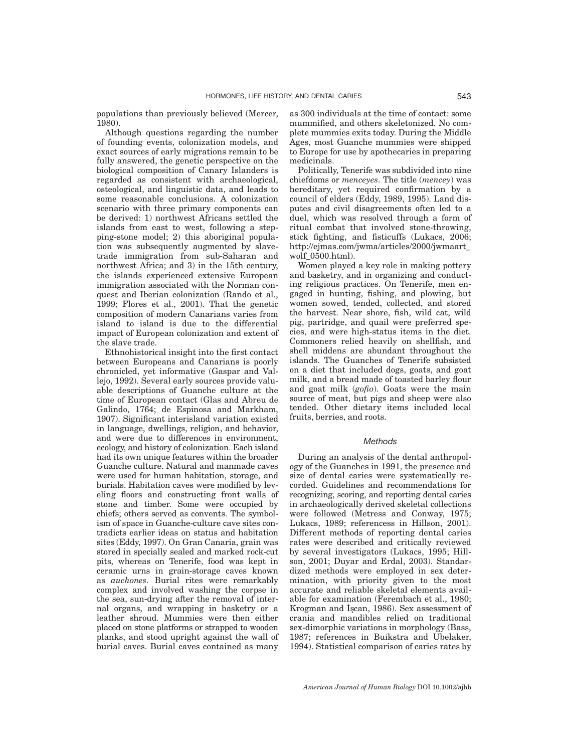populations than previously believed (Mercer, 1980).

Although questions regarding the number of founding events, colonization models, and exact sources of early migrations remain to be fully answered, the genetic perspective on the biological composition of Canary Islanders is regarded as consistent with archaeological, osteological, and linguistic data, and leads to some reasonable conclusions. A colonization scenario with three primary components can be derived: 1) northwest Africans settled the islands from east to west, following a stepping-stone model; 2) this aboriginal population was subsequently augmented by slavetrade immigration from sub-Saharan and northwest Africa; and 3) in the 15th century, the islands experienced extensive European immigration associated with the Norman conquest and Iberian colonization (Rando et al., 1999; Flores et al., 2001). That the genetic composition of modern Canarians varies from island to island is due to the differential impact of European colonization and extent of the slave trade.

Ethnohistorical insight into the first contact between Europeans and Canarians is poorly chronicled, yet informative (Gaspar and Vallejo, 1992). Several early sources provide valuable descriptions of Guanche culture at the time of European contact (Glas and Abreu de Galindo, 1764; de Espinosa and Markham, 1907). Significant interisland variation existed in language, dwellings, religion, and behavior, and were due to differences in environment, ecology, and history of colonization. Each island had its own unique features within the broader Guanche culture. Natural and manmade caves were used for human habitation, storage, and burials. Habitation caves were modified by leveling floors and constructing front walls of stone and timber. Some were occupied by chiefs; others served as convents. The symbolism of space in Guanche-culture cave sites contradicts earlier ideas on status and habitation sites (Eddy, 1997). On Gran Canaria, grain was stored in specially sealed and marked rock-cut pits, whereas on Tenerife, food was kept in ceramic urns in grain-storage caves known as auchones. Burial rites were remarkably complex and involved washing the corpse in the sea, sun-drying after the removal of internal organs, and wrapping in basketry or a leather shroud. Mummies were then either placed on stone platforms or strapped to wooden planks, and stood upright against the wall of burial caves. Burial caves contained as many

as 300 individuals at the time of contact: some mummified, and others skeletonized. No complete mummies exits today. During the Middle Ages, most Guanche mummies were shipped to Europe for use by apothecaries in preparing medicinals.

Politically, Tenerife was subdivided into nine chiefdoms or menceyes. The title (mencey) was hereditary, yet required confirmation by a council of elders (Eddy, 1989, 1995). Land disputes and civil disagreements often led to a duel, which was resolved through a form of ritual combat that involved stone-throwing, stick fighting, and fisticuffs (Lukacs, 2006; http://ejmas.com/jwma/articles/2000/jwmaart\_ wolf\_0500.html).

Women played a key role in making pottery and basketry, and in organizing and conducting religious practices. On Tenerife, men engaged in hunting, fishing, and plowing, but women sowed, tended, collected, and stored the harvest. Near shore, fish, wild cat, wild pig, partridge, and quail were preferred species, and were high-status items in the diet. Commoners relied heavily on shellfish, and shell middens are abundant throughout the islands. The Guanches of Tenerife subsisted on a diet that included dogs, goats, and goat milk, and a bread made of toasted barley flour and goat milk (gofio). Goats were the main source of meat, but pigs and sheep were also tended. Other dietary items included local fruits, berries, and roots.

## **Methods**

During an analysis of the dental anthropology of the Guanches in 1991, the presence and size of dental caries were systematically recorded. Guidelines and recommendations for recognizing, scoring, and reporting dental caries in archaeologically derived skeletal collections were followed (Metress and Conway, 1975; Lukacs, 1989; referencess in Hillson, 2001). Different methods of reporting dental caries rates were described and critically reviewed by several investigators (Lukacs, 1995; Hillson, 2001; Duyar and Erdal, 2003). Standardized methods were employed in sex determination, with priority given to the most accurate and reliable skeletal elements available for examination (Ferembach et al., 1980; Krogman and Iscan, 1986). Sex assessment of crania and mandibles relied on traditional sex-dimorphic variations in morphology (Bass, 1987; references in Buikstra and Ubelaker, 1994). Statistical comparison of caries rates by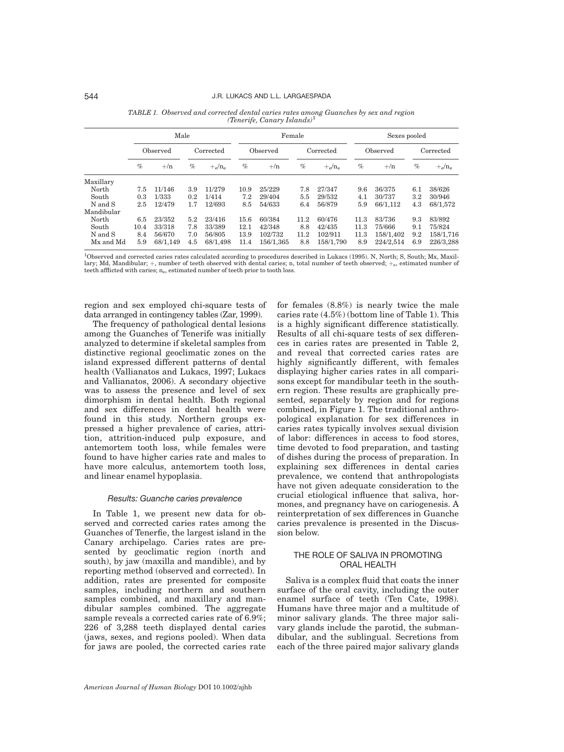|            | Male     |              |           |               | Female   |           |           | Sexes pooled  |          |           |           |           |
|------------|----------|--------------|-----------|---------------|----------|-----------|-----------|---------------|----------|-----------|-----------|-----------|
|            | Observed |              | Corrected |               | Observed |           | Corrected |               | Observed |           | Corrected |           |
|            | $\%$     | $+\frac{}{}$ | $\%$      | $+_{e}/n_{e}$ | $\%$     | $+$ /n    | $\%$      | $+_{e}/n_{e}$ | $\%$     | $^{+/n}$  | $\%$      | $+e/n_e$  |
| Maxillary  |          |              |           |               |          |           |           |               |          |           |           |           |
| North      | 7.5      | 11/146       | 3.9       | 11/279        | 10.9     | 25/229    | 7.8       | 27/347        | 9.6      | 36/375    | 6.1       | 38/626    |
| South      | 0.3      | 1/333        | 0.2       | 1/414         | 7.2      | 29/404    | 5.5       | 29/532        | 4.1      | 30/737    | 3.2       | 30/946    |
| N and S    | 2.5      | 12/479       | 1.7       | 12/693        | 8.5      | 54/633    | 6.4       | 56/879        | 5.9      | 66/1.112  | 4.3       | 68/1.572  |
| Mandibular |          |              |           |               |          |           |           |               |          |           |           |           |
| North      | 6.5      | 23/352       | 5.2       | 23/416        | 15.6     | 60/384    | 11.2      | 60/476        | 11.3     | 83/736    | 9.3       | 83/892    |
| South      | 10.4     | 33/318       | 7.8       | 33/389        | 12.1     | 42/348    | 8.8       | 42/435        | 11.3     | 75/666    | 9.1       | 75/824    |
| N and S    | 8.4      | 56/670       | 7.0       | 56/805        | 13.9     | 102/732   | 11.2      | 102/911       | 11.3     | 158/1.402 | 9.2       | 158/1.716 |
| Mx and Md  | 5.9      | 68/1.149     | 4.5       | 68/1.498      | 11.4     | 156/1.365 | 8.8       | 158/1,790     | 8.9      | 224/2.514 | 6.9       | 226/3.288 |

|  | TABLE 1. Observed and corrected dental caries rates among Guanches by sex and region |                                         |  |  |  |  |
|--|--------------------------------------------------------------------------------------|-----------------------------------------|--|--|--|--|
|  |                                                                                      | (Tenerife, Canary Islands) <sup>1</sup> |  |  |  |  |

 $^{1}$ Observed and corrected caries rates calculated according to procedures described in Lukacs (1995). N, North, S, South, Mx, Maxillary, Md, Mandibular, +, number of teeth observed with dental caries, n, total number of teeth afflicted with caries; n<sub>e</sub>, estimated number of teeth prior to tooth loss.

region and sex employed chi-square tests of data arranged in contingency tables (Zar, 1999).

The frequency of pathological dental lesions among the Guanches of Tenerife was initially analyzed to determine if skeletal samples from distinctive regional geoclimatic zones on the island expressed different patterns of dental health (Vallianatos and Lukacs, 1997; Lukacs and Vallianatos, 2006). A secondary objective was to assess the presence and level of sex dimorphism in dental health. Both regional and sex differences in dental health were found in this study. Northern groups expressed a higher prevalence of caries, attrition, attrition-induced pulp exposure, and antemortem tooth loss, while females were found to have higher caries rate and males to have more calculus, antemortem tooth loss, and linear enamel hypoplasia.

#### Results: Guanche caries prevalence

In Table 1, we present new data for observed and corrected caries rates among the Guanches of Tenerfie, the largest island in the Canary archipelago. Caries rates are presented by geoclimatic region (north and south), by jaw (maxilla and mandible), and by reporting method (observed and corrected). In addition, rates are presented for composite samples, including northern and southern samples combined, and maxillary and mandibular samples combined. The aggregate sample reveals a corrected caries rate of 6.9%; 226 of 3,288 teeth displayed dental caries (jaws, sexes, and regions pooled). When data for jaws are pooled, the corrected caries rate

for females (8.8%) is nearly twice the male caries rate (4.5%) (bottom line of Table 1). This is a highly significant difference statistically. Results of all chi-square tests of sex differences in caries rates are presented in Table 2, and reveal that corrected caries rates are highly significantly different, with females displaying higher caries rates in all comparisons except for mandibular teeth in the southern region. These results are graphically presented, separately by region and for regions combined, in Figure 1. The traditional anthropological explanation for sex differences in caries rates typically involves sexual division of labor: differences in access to food stores, time devoted to food preparation, and tasting of dishes during the process of preparation. In explaining sex differences in dental caries prevalence, we contend that anthropologists have not given adequate consideration to the crucial etiological influence that saliva, hormones, and pregnancy have on cariogenesis. A reinterpretation of sex differences in Guanche caries prevalence is presented in the Discussion below.

## THE ROLE OF SALIVA IN PROMOTING ORAL HEALTH

Saliva is a complex fluid that coats the inner surface of the oral cavity, including the outer enamel surface of teeth (Ten Cate, 1998). Humans have three major and a multitude of minor salivary glands. The three major salivary glands include the parotid, the submandibular, and the sublingual. Secretions from each of the three paired major salivary glands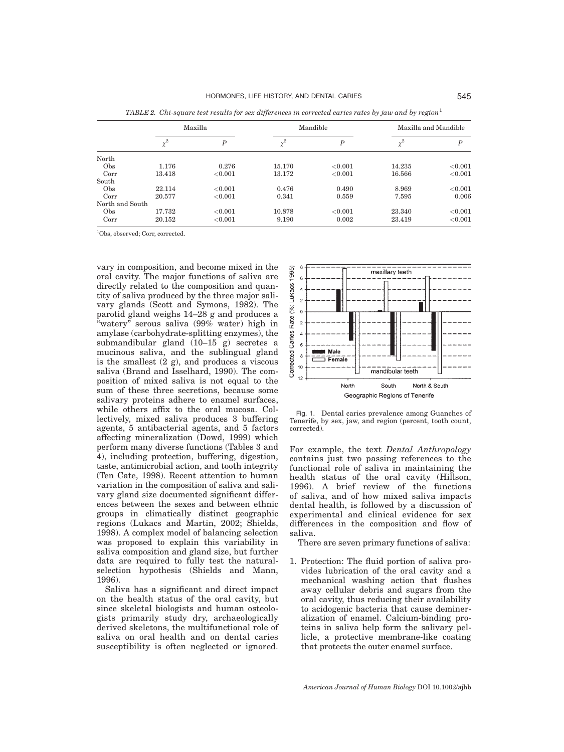|                 |        | Maxilla          |          | Mandible         | Maxilla and Mandible |            |  |
|-----------------|--------|------------------|----------|------------------|----------------------|------------|--|
|                 |        | $\boldsymbol{P}$ | $\chi^2$ | $\boldsymbol{P}$ | $\chi^2$             | Ρ          |  |
| North           |        |                  |          |                  |                      |            |  |
| Obs             | 1.176  | 0.276            | 15.170   | $<$ 0.001        | 14.235               | ${<}0.001$ |  |
| Corr            | 13.418 | ${<}0.001$       | 13.172   | ${<}0.001$       | 16.566               | $<$ 0.001  |  |
| South           |        |                  |          |                  |                      |            |  |
| Obs             | 22.114 | ${<}0.001$       | 0.476    | 0.490            | 8.969                | ${<}0.001$ |  |
| Corr            | 20.577 | ${<}0.001$       | 0.341    | 0.559            | 7.595                | 0.006      |  |
| North and South |        |                  |          |                  |                      |            |  |
| Obs             | 17.732 | ${<}0.001$       | 10.878   | ${<}0.001$       | 23.340               | < 0.001    |  |
| Corr            | 20.152 | ${<}0.001$       | 9.190    | 0.002            | 23.419               | ${<}0.001$ |  |

TABLE 2. Chi-square test results for sex differences in corrected caries rates by jaw and by region<sup>1</sup>

1 Obs, observed; Corr, corrected.

vary in composition, and become mixed in the oral cavity. The major functions of saliva are directly related to the composition and quantity of saliva produced by the three major salivary glands (Scott and Symons, 1982). The parotid gland weighs 14–28 g and produces a "watery" serous saliva  $(99\% \text{ water})$  high in amylase (carbohydrate-splitting enzymes), the submandibular gland (10–15 g) secretes a mucinous saliva, and the sublingual gland is the smallest (2 g), and produces a viscous saliva (Brand and Isselhard, 1990). The composition of mixed saliva is not equal to the sum of these three secretions, because some salivary proteins adhere to enamel surfaces, while others affix to the oral mucosa. Collectively, mixed saliva produces 3 buffering agents, 5 antibacterial agents, and 5 factors affecting mineralization (Dowd, 1999) which perform many diverse functions (Tables 3 and 4), including protection, buffering, digestion, taste, antimicrobial action, and tooth integrity (Ten Cate, 1998). Recent attention to human variation in the composition of saliva and salivary gland size documented significant differences between the sexes and between ethnic groups in climatically distinct geographic regions (Lukacs and Martin, 2002; Shields, 1998). A complex model of balancing selection was proposed to explain this variability in saliva composition and gland size, but further data are required to fully test the naturalselection hypothesis (Shields and Mann, 1996).

Saliva has a significant and direct impact on the health status of the oral cavity, but since skeletal biologists and human osteologists primarily study dry, archaeologically derived skeletons, the multifunctional role of saliva on oral health and on dental caries susceptibility is often neglected or ignored.



Fig. 1. Dental caries prevalence among Guanches of Tenerife, by sex, jaw, and region (percent, tooth count, corrected).

For example, the text Dental Anthropology contains just two passing references to the functional role of saliva in maintaining the health status of the oral cavity (Hillson, 1996). A brief review of the functions of saliva, and of how mixed saliva impacts dental health, is followed by a discussion of experimental and clinical evidence for sex differences in the composition and flow of saliva.

There are seven primary functions of saliva:

1. Protection: The fluid portion of saliva provides lubrication of the oral cavity and a mechanical washing action that flushes away cellular debris and sugars from the oral cavity, thus reducing their availability to acidogenic bacteria that cause demineralization of enamel. Calcium-binding proteins in saliva help form the salivary pellicle, a protective membrane-like coating that protects the outer enamel surface.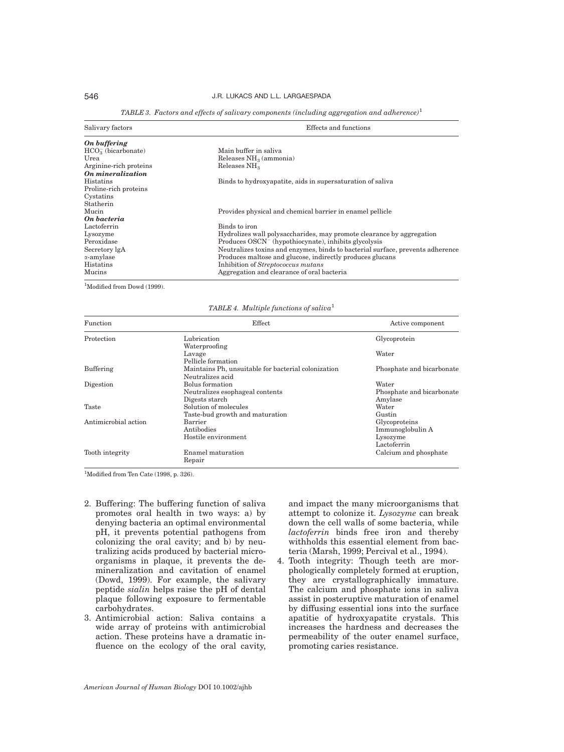| Salivary factors       | Effects and functions                                                          |  |  |  |  |
|------------------------|--------------------------------------------------------------------------------|--|--|--|--|
| On buffering           |                                                                                |  |  |  |  |
| $HCO3$ (bicarbonate)   | Main buffer in saliva                                                          |  |  |  |  |
| Urea                   | Releases $NH3$ (ammonia)                                                       |  |  |  |  |
| Arginine-rich proteins | Releases $NH3$                                                                 |  |  |  |  |
| On mineralization      |                                                                                |  |  |  |  |
| <b>Histatins</b>       | Binds to hydroxyapatite, aids in supersaturation of saliva                     |  |  |  |  |
| Proline-rich proteins  |                                                                                |  |  |  |  |
| Cystatins              |                                                                                |  |  |  |  |
| Statherin              |                                                                                |  |  |  |  |
| Mucin                  | Provides physical and chemical barrier in enamel pellicle                      |  |  |  |  |
| On bacteria            |                                                                                |  |  |  |  |
| Lactoferrin            | Binds to iron                                                                  |  |  |  |  |
| Lysozyme               | Hydrolizes wall polysaccharides, may promote clearance by aggregation          |  |  |  |  |
| Peroxidase             | Produces OSCN <sup>-</sup> (hypothiocynate), inhibits glycolysis               |  |  |  |  |
| Secretory lgA          | Neutralizes toxins and enzymes, binds to bacterial surface, prevents adherence |  |  |  |  |
| $\alpha$ -amylase      | Produces maltose and glucose, indirectly produces glucans                      |  |  |  |  |
| Histatins              | Inhibition of Streptococcus mutans                                             |  |  |  |  |
| Mucins                 | Aggregation and clearance of oral bacteria                                     |  |  |  |  |

TABLE 3. Factors and effects of salivary components (including aggregation and adherence)<sup>1</sup>

1 Modified from Dowd (1999).

TABLE 4. Multiple functions of saliva<sup>1</sup>

| Function             | Effect                                              | Active component          |  |  |
|----------------------|-----------------------------------------------------|---------------------------|--|--|
| Protection           | Lubrication                                         | Glycoprotein              |  |  |
|                      | Waterproofing                                       |                           |  |  |
|                      | Lavage                                              | Water                     |  |  |
|                      | Pellicle formation                                  |                           |  |  |
| Buffering            | Maintains Ph, unsuitable for bacterial colonization | Phosphate and bicarbonate |  |  |
|                      | Neutralizes acid                                    |                           |  |  |
| Digestion            | Bolus formation                                     | Water                     |  |  |
|                      | Neutralizes esophageal contents                     | Phosphate and bicarbonate |  |  |
|                      | Digests starch                                      | Amylase                   |  |  |
| Taste                | Solution of molecules                               | Water                     |  |  |
|                      | Taste-bud growth and maturation                     | Gustin                    |  |  |
| Antimicrobial action | Barrier                                             | Glycoproteins             |  |  |
|                      | Antibodies                                          | Immunoglobulin A          |  |  |
|                      | Hostile environment                                 | Lysozyme                  |  |  |
|                      |                                                     | Lactoferrin               |  |  |
| Tooth integrity      | Enamel maturation                                   | Calcium and phosphate     |  |  |
|                      | Repair                                              |                           |  |  |

<sup>1</sup>Modified from Ten Cate (1998, p. 326).

- 2. Buffering: The buffering function of saliva promotes oral health in two ways: a) by denying bacteria an optimal environmental pH, it prevents potential pathogens from colonizing the oral cavity; and b) by neutralizing acids produced by bacterial microorganisms in plaque, it prevents the demineralization and cavitation of enamel (Dowd, 1999). For example, the salivary peptide sialin helps raise the pH of dental plaque following exposure to fermentable carbohydrates.
- 3. Antimicrobial action: Saliva contains a wide array of proteins with antimicrobial action. These proteins have a dramatic influence on the ecology of the oral cavity,

and impact the many microorganisms that attempt to colonize it. Lysozyme can break down the cell walls of some bacteria, while lactoferrin binds free iron and thereby withholds this essential element from bacteria (Marsh, 1999; Percival et al., 1994).

4. Tooth integrity: Though teeth are morphologically completely formed at eruption, they are crystallographically immature. The calcium and phosphate ions in saliva assist in posteruptive maturation of enamel by diffusing essential ions into the surface apatitie of hydroxyapatite crystals. This increases the hardness and decreases the permeability of the outer enamel surface, promoting caries resistance.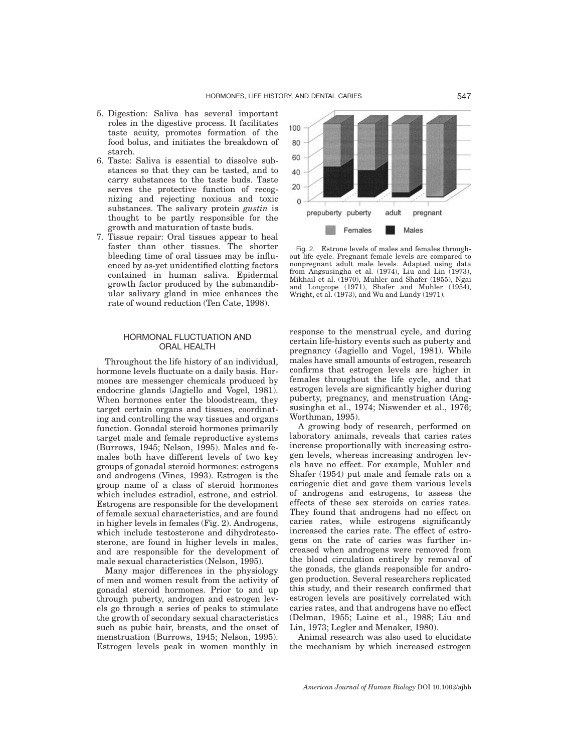- 5. Digestion: Saliva has several important roles in the digestive process. It facilitates taste acuity, promotes formation of the food bolus, and initiates the breakdown of starch.
- 6. Taste: Saliva is essential to dissolve substances so that they can be tasted, and to carry substances to the taste buds. Taste serves the protective function of recognizing and rejecting noxious and toxic substances. The salivary protein *gustin* is thought to be partly responsible for the growth and maturation of taste buds.
- 7. Tissue repair: Oral tissues appear to heal faster than other tissues. The shorter bleeding time of oral tissues may be influenced by as-yet unidentified clotting factors contained in human saliva. Epidermal growth factor produced by the submandibular salivary gland in mice enhances the rate of wound reduction (Ten Cate, 1998).

#### HORMONAL FLUCTUATION AND ORAL HEALTH

Throughout the life history of an individual, hormone levels fluctuate on a daily basis. Hormones are messenger chemicals produced by endocrine glands (Jagiello and Vogel, 1981). When hormones enter the bloodstream, they target certain organs and tissues, coordinating and controlling the way tissues and organs function. Gonadal steroid hormones primarily target male and female reproductive systems (Burrows, 1945; Nelson, 1995). Males and females both have different levels of two key groups of gonadal steroid hormones: estrogens and androgens (Vines, 1993). Estrogen is the group name of a class of steroid hormones which includes estradiol, estrone, and estriol. Estrogens are responsible for the development of female sexual characteristics, and are found in higher levels in females (Fig. 2). Androgens, which include testosterone and dihydrotestosterone, are found in higher levels in males, and are responsible for the development of male sexual characteristics (Nelson, 1995).

Many major differences in the physiology of men and women result from the activity of gonadal steroid hormones. Prior to and up through puberty, androgen and estrogen levels go through a series of peaks to stimulate the growth of secondary sexual characteristics such as pubic hair, breasts, and the onset of menstruation (Burrows, 1945; Nelson, 1995). Estrogen levels peak in women monthly in



Fig. 2. Estrone levels of males and females throughout life cycle. Pregnant female levels are compared to nonpregnant adult male levels. Adapted using data from Angsusingha et al. (1974), Liu and Lin (1973), Mikhail et al. (1970), Muhler and Shafer (1955), Ngai and Longcope (1971), Shafer and Muhler (1954), Wright, et al. (1973), and Wu and Lundy (1971).

response to the menstrual cycle, and during certain life-history events such as puberty and pregnancy (Jagiello and Vogel, 1981). While males have small amounts of estrogen, research confirms that estrogen levels are higher in females throughout the life cycle, and that estrogen levels are significantly higher during puberty, pregnancy, and menstruation (Angsusingha et al., 1974; Niswender et al., 1976; Worthman, 1995).

A growing body of research, performed on laboratory animals, reveals that caries rates increase proportionally with increasing estrogen levels, whereas increasing androgen levels have no effect. For example, Muhler and Shafer (1954) put male and female rats on a cariogenic diet and gave them various levels of androgens and estrogens, to assess the effects of these sex steroids on caries rates. They found that androgens had no effect on caries rates, while estrogens significantly increased the caries rate. The effect of estrogens on the rate of caries was further increased when androgens were removed from the blood circulation entirely by removal of the gonads, the glands responsible for androgen production. Several researchers replicated this study, and their research confirmed that estrogen levels are positively correlated with caries rates, and that androgens have no effect (Delman, 1955; Laine et al., 1988; Liu and Lin, 1973; Legler and Menaker, 1980).

Animal research was also used to elucidate the mechanism by which increased estrogen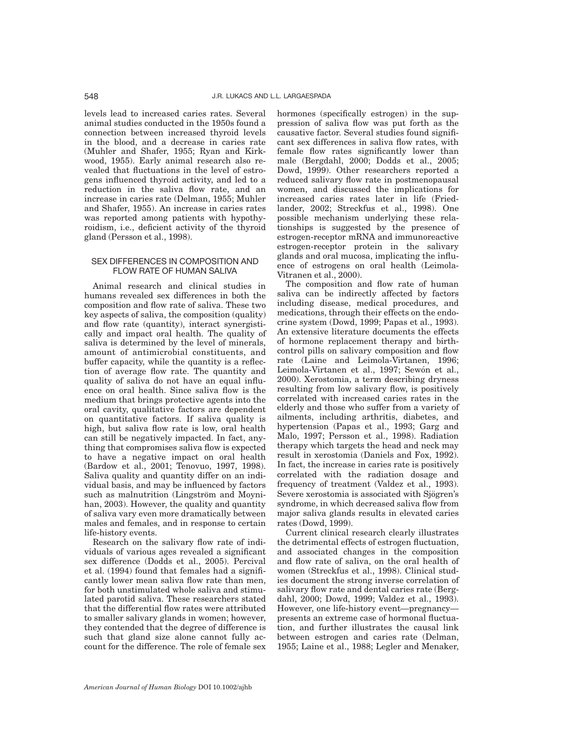levels lead to increased caries rates. Several animal studies conducted in the 1950s found a connection between increased thyroid levels in the blood, and a decrease in caries rate (Muhler and Shafer, 1955; Ryan and Kirkwood, 1955). Early animal research also revealed that fluctuations in the level of estrogens influenced thyroid activity, and led to a reduction in the saliva flow rate, and an increase in caries rate (Delman, 1955; Muhler and Shafer, 1955). An increase in caries rates was reported among patients with hypothyroidism, i.e., deficient activity of the thyroid gland (Persson et al., 1998).

## SEX DIFFERENCES IN COMPOSITION AND FLOW RATE OF HUMAN SALIVA

Animal research and clinical studies in humans revealed sex differences in both the composition and flow rate of saliva. These two key aspects of saliva, the composition (quality) and flow rate (quantity), interact synergistically and impact oral health. The quality of saliva is determined by the level of minerals, amount of antimicrobial constituents, and buffer capacity, while the quantity is a reflection of average flow rate. The quantity and quality of saliva do not have an equal influence on oral health. Since saliva flow is the medium that brings protective agents into the oral cavity, qualitative factors are dependent on quantitative factors. If saliva quality is high, but saliva flow rate is low, oral health can still be negatively impacted. In fact, anything that compromises saliva flow is expected to have a negative impact on oral health (Bardow et al., 2001; Tenovuo, 1997, 1998). Saliva quality and quantity differ on an individual basis, and may be influenced by factors such as malnutrition (Lingström and Moynihan, 2003). However, the quality and quantity of saliva vary even more dramatically between males and females, and in response to certain life-history events.

Research on the salivary flow rate of individuals of various ages revealed a significant sex difference (Dodds et al., 2005). Percival et al. (1994) found that females had a significantly lower mean saliva flow rate than men, for both unstimulated whole saliva and stimulated parotid saliva. These researchers stated that the differential flow rates were attributed to smaller salivary glands in women; however, they contended that the degree of difference is such that gland size alone cannot fully account for the difference. The role of female sex hormones (specifically estrogen) in the suppression of saliva flow was put forth as the causative factor. Several studies found significant sex differences in saliva flow rates, with female flow rates significantly lower than male (Bergdahl, 2000; Dodds et al., 2005; Dowd, 1999). Other researchers reported a reduced salivary flow rate in postmenopausal women, and discussed the implications for increased caries rates later in life (Friedlander, 2002; Streckfus et al., 1998). One possible mechanism underlying these relationships is suggested by the presence of estrogen-receptor mRNA and immunoreactive estrogen-receptor protein in the salivary glands and oral mucosa, implicating the influence of estrogens on oral health (Leimola-Vitranen et al., 2000).

The composition and flow rate of human saliva can be indirectly affected by factors including disease, medical procedures, and medications, through their effects on the endocrine system (Dowd, 1999; Papas et al., 1993). An extensive literature documents the effects of hormone replacement therapy and birthcontrol pills on salivary composition and flow rate (Laine and Leimola-Virtanen, 1996; Leimola-Virtanen et al., 1997; Sewón et al., 2000). Xerostomia, a term describing dryness resulting from low salivary flow, is positively correlated with increased caries rates in the elderly and those who suffer from a variety of ailments, including arthritis, diabetes, and hypertension (Papas et al., 1993; Garg and Malo, 1997; Persson et al., 1998). Radiation therapy which targets the head and neck may result in xerostomia (Daniels and Fox, 1992). In fact, the increase in caries rate is positively correlated with the radiation dosage and frequency of treatment (Valdez et al., 1993). Severe xerostomia is associated with Sjögren's syndrome, in which decreased saliva flow from major saliva glands results in elevated caries rates (Dowd, 1999).

Current clinical research clearly illustrates the detrimental effects of estrogen fluctuation, and associated changes in the composition and flow rate of saliva, on the oral health of women (Streckfus et al., 1998). Clinical studies document the strong inverse correlation of salivary flow rate and dental caries rate (Bergdahl, 2000; Dowd, 1999; Valdez et al., 1993). However, one life-history event—pregnancy presents an extreme case of hormonal fluctuation, and further illustrates the causal link between estrogen and caries rate (Delman, 1955; Laine et al., 1988; Legler and Menaker,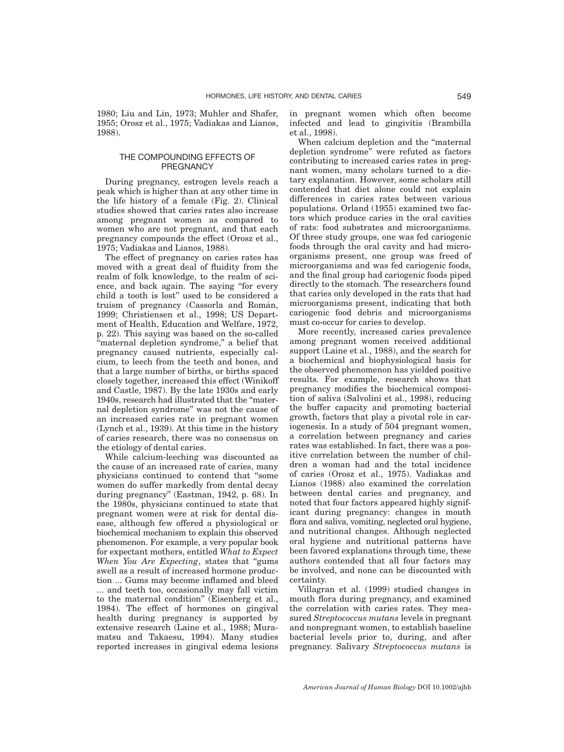1980; Liu and Lin, 1973; Muhler and Shafer, 1955; Orosz et al., 1975; Vadiakas and Lianos, 1988).

## THE COMPOUNDING EFFECTS OF **PREGNANCY**

During pregnancy, estrogen levels reach a peak which is higher than at any other time in the life history of a female (Fig. 2). Clinical studies showed that caries rates also increase among pregnant women as compared to women who are not pregnant, and that each pregnancy compounds the effect (Orosz et al., 1975; Vadiakas and Lianos, 1988).

The effect of pregnancy on caries rates has moved with a great deal of fluidity from the realm of folk knowledge, to the realm of science, and back again. The saying ''for every child a tooth is lost'' used to be considered a truism of pregnancy (Cassorla and Román, 1999; Christiensen et al., 1998; US Department of Health, Education and Welfare, 1972, p. 22). This saying was based on the so-called "maternal depletion syndrome," a belief that pregnancy caused nutrients, especially calcium, to leech from the teeth and bones, and that a large number of births, or births spaced closely together, increased this effect (Winikoff and Castle, 1987). By the late 1930s and early 1940s, research had illustrated that the ''maternal depletion syndrome'' was not the cause of an increased caries rate in pregnant women (Lynch et al., 1939). At this time in the history of caries research, there was no consensus on the etiology of dental caries.

While calcium-leeching was discounted as the cause of an increased rate of caries, many physicians continued to contend that ''some women do suffer markedly from dental decay during pregnancy'' (Eastman, 1942, p. 68). In the 1980s, physicians continued to state that pregnant women were at risk for dental disease, although few offered a physiological or biochemical mechanism to explain this observed phenomenon. For example, a very popular book for expectant mothers, entitled What to Expect When You Are Expecting, states that "gums" swell as a result of increased hormone production ... Gums may become inflamed and bleed ... and teeth too, occasionally may fall victim to the maternal condition'' (Eisenberg et al., 1984). The effect of hormones on gingival health during pregnancy is supported by extensive research (Laine et al., 1988; Muramatsu and Takaesu, 1994). Many studies reported increases in gingival edema lesions

in pregnant women which often become infected and lead to gingivitis (Brambilla et al., 1998).

When calcium depletion and the ''maternal depletion syndrome'' were refuted as factors contributing to increased caries rates in pregnant women, many scholars turned to a dietary explanation. However, some scholars still contended that diet alone could not explain differences in caries rates between various populations. Orland (1955) examined two factors which produce caries in the oral cavities of rats: food substrates and microorganisms. Of three study groups, one was fed cariogenic foods through the oral cavity and had microorganisms present, one group was freed of microorganisms and was fed cariogenic foods, and the final group had cariogenic foods piped directly to the stomach. The researchers found that caries only developed in the rats that had microorganisms present, indicating that both cariogenic food debris and microorganisms must co-occur for caries to develop.

More recently, increased caries prevalence among pregnant women received additional support (Laine et al., 1988), and the search for a biochemical and biophysiological basis for the observed phenomenon has yielded positive results. For example, research shows that pregnancy modifies the biochemical composition of saliva (Salvolini et al., 1998), reducing the buffer capacity and promoting bacterial growth, factors that play a pivotal role in cariogenesis. In a study of 504 pregnant women, a correlation between pregnancy and caries rates was established. In fact, there was a positive correlation between the number of children a woman had and the total incidence of caries (Orosz et al., 1975). Vadiakas and Lianos (1988) also examined the correlation between dental caries and pregnancy, and noted that four factors appeared highly significant during pregnancy: changes in mouth flora and saliva, vomiting, neglected oral hygiene, and nutritional changes. Although neglected oral hygiene and nutritional patterns have been favored explanations through time, these authors contended that all four factors may be involved, and none can be discounted with certainty.

Villagran et al. (1999) studied changes in mouth flora during pregnancy, and examined the correlation with caries rates. They measured Streptococcus mutans levels in pregnant and nonpregnant women, to establish baseline bacterial levels prior to, during, and after pregnancy. Salivary Streptococcus mutans is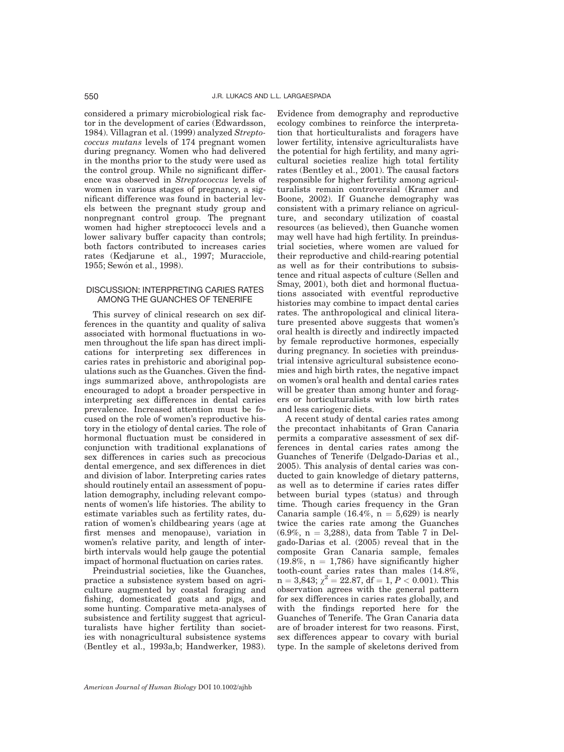considered a primary microbiological risk factor in the development of caries (Edwardsson, 1984). Villagran et al. (1999) analyzed Streptococcus mutans levels of 174 pregnant women during pregnancy. Women who had delivered in the months prior to the study were used as the control group. While no significant difference was observed in Streptococcus levels of women in various stages of pregnancy, a significant difference was found in bacterial levels between the pregnant study group and nonpregnant control group. The pregnant women had higher streptococci levels and a lower salivary buffer capacity than controls; both factors contributed to increases caries rates (Kedjarune et al., 1997; Muracciole, 1955; Sewón et al., 1998).

## DISCUSSION: INTERPRETING CARIES RATES AMONG THE GUANCHES OF TENERIFE

This survey of clinical research on sex differences in the quantity and quality of saliva associated with hormonal fluctuations in women throughout the life span has direct implications for interpreting sex differences in caries rates in prehistoric and aboriginal populations such as the Guanches. Given the findings summarized above, anthropologists are encouraged to adopt a broader perspective in interpreting sex differences in dental caries prevalence. Increased attention must be focused on the role of women's reproductive history in the etiology of dental caries. The role of hormonal fluctuation must be considered in conjunction with traditional explanations of sex differences in caries such as precocious dental emergence, and sex differences in diet and division of labor. Interpreting caries rates should routinely entail an assessment of population demography, including relevant components of women's life histories. The ability to estimate variables such as fertility rates, duration of women's childbearing years (age at first menses and menopause), variation in women's relative parity, and length of interbirth intervals would help gauge the potential impact of hormonal fluctuation on caries rates.

Preindustrial societies, like the Guanches, practice a subsistence system based on agriculture augmented by coastal foraging and fishing, domesticated goats and pigs, and some hunting. Comparative meta-analyses of subsistence and fertility suggest that agriculturalists have higher fertility than societies with nonagricultural subsistence systems (Bentley et al., 1993a,b; Handwerker, 1983).

Evidence from demography and reproductive ecology combines to reinforce the interpretation that horticulturalists and foragers have lower fertility, intensive agriculturalists have the potential for high fertility, and many agricultural societies realize high total fertility rates (Bentley et al., 2001). The causal factors responsible for higher fertility among agriculturalists remain controversial (Kramer and Boone, 2002). If Guanche demography was consistent with a primary reliance on agriculture, and secondary utilization of coastal resources (as believed), then Guanche women may well have had high fertility. In preindustrial societies, where women are valued for their reproductive and child-rearing potential as well as for their contributions to subsistence and ritual aspects of culture (Sellen and Smay, 2001), both diet and hormonal fluctuations associated with eventful reproductive histories may combine to impact dental caries rates. The anthropological and clinical literature presented above suggests that women's oral health is directly and indirectly impacted by female reproductive hormones, especially during pregnancy. In societies with preindustrial intensive agricultural subsistence economies and high birth rates, the negative impact on women's oral health and dental caries rates will be greater than among hunter and foragers or horticulturalists with low birth rates and less cariogenic diets.

A recent study of dental caries rates among the precontact inhabitants of Gran Canaria permits a comparative assessment of sex differences in dental caries rates among the Guanches of Tenerife (Delgado-Darias et al., 2005). This analysis of dental caries was conducted to gain knowledge of dietary patterns, as well as to determine if caries rates differ between burial types (status) and through time. Though caries frequency in the Gran Canaria sample (16.4%,  $n = 5,629$ ) is nearly twice the caries rate among the Guanches  $(6.9\%, n = 3,288)$ , data from Table 7 in Delgado-Darias et al. (2005) reveal that in the composite Gran Canaria sample, females  $(19.8\%, n = 1,786)$  have significantly higher tooth-count caries rates than males (14.8%,  $n = 3,843$ ;  $\chi^2 = 22.87$ , df = 1, P < 0.001). This observation agrees with the general pattern for sex differences in caries rates globally, and with the findings reported here for the Guanches of Tenerife. The Gran Canaria data are of broader interest for two reasons. First, sex differences appear to covary with burial type. In the sample of skeletons derived from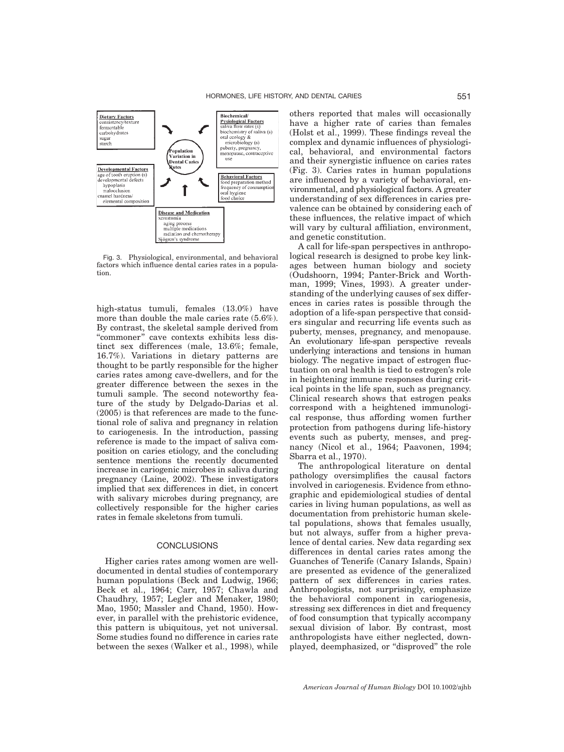

Fig. 3. Physiological, environmental, and behavioral factors which influence dental caries rates in a population.

high-status tumuli, females (13.0%) have more than double the male caries rate (5.6%). By contrast, the skeletal sample derived from ''commoner'' cave contexts exhibits less distinct sex differences (male, 13.6%; female, 16.7%). Variations in dietary patterns are thought to be partly responsible for the higher caries rates among cave-dwellers, and for the greater difference between the sexes in the tumuli sample. The second noteworthy feature of the study by Delgado-Darias et al. (2005) is that references are made to the functional role of saliva and pregnancy in relation to cariogenesis. In the introduction, passing reference is made to the impact of saliva composition on caries etiology, and the concluding sentence mentions the recently documented increase in cariogenic microbes in saliva during pregnancy (Laine, 2002). These investigators implied that sex differences in diet, in concert with salivary microbes during pregnancy, are collectively responsible for the higher caries rates in female skeletons from tumuli.

#### **CONCLUSIONS**

Higher caries rates among women are welldocumented in dental studies of contemporary human populations (Beck and Ludwig, 1966; Beck et al., 1964; Carr, 1957; Chawla and Chaudhry, 1957; Legler and Menaker, 1980; Mao, 1950; Massler and Chand, 1950). However, in parallel with the prehistoric evidence, this pattern is ubiquitous, yet not universal. Some studies found no difference in caries rate between the sexes (Walker et al., 1998), while others reported that males will occasionally have a higher rate of caries than females (Holst et al., 1999). These findings reveal the complex and dynamic influences of physiological, behavioral, and environmental factors and their synergistic influence on caries rates (Fig. 3). Caries rates in human populations are influenced by a variety of behavioral, environmental, and physiological factors. A greater understanding of sex differences in caries prevalence can be obtained by considering each of these influences, the relative impact of which will vary by cultural affiliation, environment, and genetic constitution.

A call for life-span perspectives in anthropological research is designed to probe key linkages between human biology and society (Oudshoorn, 1994; Panter-Brick and Worthman, 1999; Vines, 1993). A greater understanding of the underlying causes of sex differences in caries rates is possible through the adoption of a life-span perspective that considers singular and recurring life events such as puberty, menses, pregnancy, and menopause. An evolutionary life-span perspective reveals underlying interactions and tensions in human biology. The negative impact of estrogen fluctuation on oral health is tied to estrogen's role in heightening immune responses during critical points in the life span, such as pregnancy. Clinical research shows that estrogen peaks correspond with a heightened immunological response, thus affording women further protection from pathogens during life-history events such as puberty, menses, and pregnancy (Nicol et al., 1964; Paavonen, 1994; Sbarra et al., 1970).

The anthropological literature on dental pathology oversimplifies the causal factors involved in cariogenesis. Evidence from ethnographic and epidemiological studies of dental caries in living human populations, as well as documentation from prehistoric human skeletal populations, shows that females usually, but not always, suffer from a higher prevalence of dental caries. New data regarding sex differences in dental caries rates among the Guanches of Tenerife (Canary Islands, Spain) are presented as evidence of the generalized pattern of sex differences in caries rates. Anthropologists, not surprisingly, emphasize the behavioral component in cariogenesis, stressing sex differences in diet and frequency of food consumption that typically accompany sexual division of labor. By contrast, most anthropologists have either neglected, downplayed, deemphasized, or ''disproved'' the role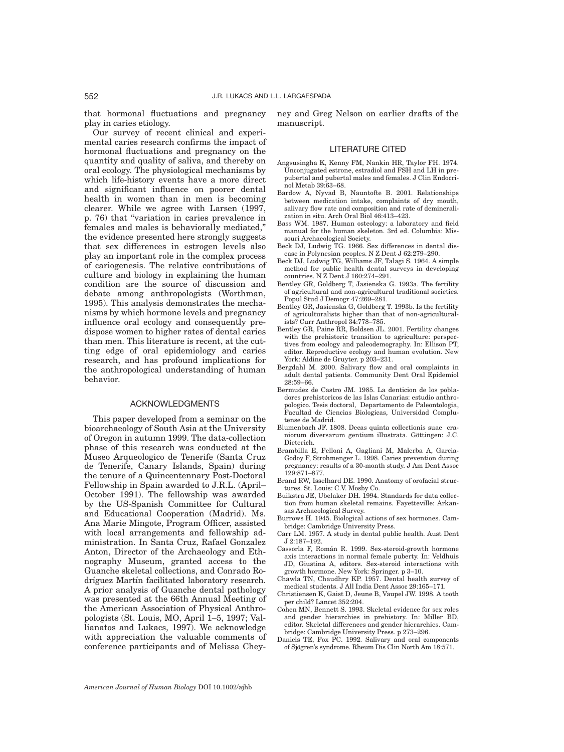that hormonal fluctuations and pregnancy play in caries etiology.

Our survey of recent clinical and experimental caries research confirms the impact of hormonal fluctuations and pregnancy on the quantity and quality of saliva, and thereby on oral ecology. The physiological mechanisms by which life-history events have a more direct and significant influence on poorer dental health in women than in men is becoming clearer. While we agree with Larsen (1997, p. 76) that ''variation in caries prevalence in females and males is behaviorally mediated,'' the evidence presented here strongly suggests that sex differences in estrogen levels also play an important role in the complex process of cariogenesis. The relative contributions of culture and biology in explaining the human condition are the source of discussion and debate among anthropologists (Worthman, 1995). This analysis demonstrates the mechanisms by which hormone levels and pregnancy influence oral ecology and consequently predispose women to higher rates of dental caries than men. This literature is recent, at the cutting edge of oral epidemiology and caries research, and has profound implications for the anthropological understanding of human behavior.

### ACKNOWLEDGMENTS

This paper developed from a seminar on the bioarchaeology of South Asia at the University of Oregon in autumn 1999. The data-collection phase of this research was conducted at the Museo Arqueologico de Tenerife (Santa Cruz de Tenerife, Canary Islands, Spain) during the tenure of a Quincentennary Post-Doctoral Fellowship in Spain awarded to J.R.L. (April– October 1991). The fellowship was awarded by the US-Spanish Committee for Cultural and Educational Cooperation (Madrid). Ms. Ana Marie Mingote, Program Officer, assisted with local arrangements and fellowship administration. In Santa Cruz, Rafael Gonzalez Anton, Director of the Archaeology and Ethnography Museum, granted access to the Guanche skeletal collections, and Conrado Rodríguez Martín facilitated laboratory research. A prior analysis of Guanche dental pathology was presented at the 66th Annual Meeting of the American Association of Physical Anthropologists (St. Louis, MO, April 1–5, 1997; Vallianatos and Lukacs, 1997). We acknowledge with appreciation the valuable comments of conference participants and of Melissa Cheyney and Greg Nelson on earlier drafts of the manuscript.

#### LITERATURE CITED

- Angsusingha K, Kenny FM, Nankin HR, Taylor FH. 1974. Unconjugated estrone, estradiol and FSH and LH in prepubertal and pubertal males and females. J Clin Endocrinol Metab 39:63–68.
- Bardow A, Nyvad B, Nauntofte B. 2001. Relationships between medication intake, complaints of dry mouth, salivary flow rate and composition and rate of demineralization in situ. Arch Oral Biol 46:413–423.
- Bass WM. 1987. Human osteology: a laboratory and field manual for the human skeleton. 3rd ed. Columbia: Missouri Archaeological Society.
- Beck DJ, Ludwig TG. 1966. Sex differences in dental disease in Polynesian peoples. N Z Dent J 62:279–290. Beck DJ, Ludwig TG, Williams JF, Talagi S. 1964. A simple
- method for public health dental surveys in developing countries. N Z Dent J 160:274–291.
- Bentley GR, Goldberg T, Jasienska G. 1993a. The fertility of agricultural and non-agricultural traditional societies. Popul Stud J Demogr 47:269–281.
- Bentley GR, Jasienska G, Goldberg T. 1993b. Is the fertility of agriculturalists higher than that of non-agriculturalists? Curr Anthropol 34:778–785.
- Bentley GR, Paine RR, Boldsen JL. 2001. Fertility changes with the prehistoric transition to agriculture: perspectives from ecology and paleodemography. In: Ellison PT, editor. Reproductive ecology and human evolution. New York: Aldine de Gruyter. p 203–231.
- Bergdahl M. 2000. Salivary flow and oral complaints in adult dental patients. Community Dent Oral Epidemiol 28:59–66.
- Bermudez de Castro JM. 1985. La denticion de los pobladores prehistoricos de las Islas Canarias: estudio anthropologico. Tesis doctoral, Departamento de Paleontologia, Facultad de Ciencias Biologicas, Universidad Complutense de Madrid.
- Blumenbach JF. 1808. Decas quinta collectionis suae craniorum diversarum gentium illustrata. Göttingen: J.C. Dieterich.
- Brambilla E, Felloni A, Gagliani M, Malerba A, Garcia-Godoy F, Strohmenger L. 1998. Caries prevention during pregnancy: results of a 30-month study. J Am Dent Assoc 129:871–877.
- Brand RW, Isselhard DE. 1990. Anatomy of orofacial structures. St. Louis: C.V. Mosby Co.
- Buikstra JE, Ubelaker DH. 1994. Standards for data collection from human skeletal remains. Fayetteville: Arkansas Archaeological Survey.
- Burrows H. 1945. Biological actions of sex hormones. Cambridge: Cambridge University Press.
- Carr LM. 1957. A study in dental public health. Aust Dent J 2:187–192.
- Cassorla F, Roma´n R. 1999. Sex-steroid-growth hormone axis interactions in normal female puberty. In: Veldhuis JD, Giustina A, editors. Sex-steroid interactions with growth hormone. New York: Springer. p 3–10.
- Chawla TN, Chaudhry KP. 1957. Dental health survey of medical students. J All India Dent Assoc 29:165–171.
- Christiensen K, Gaist D, Jeune B, Vaupel JW. 1998. A tooth per child? Lancet 352:204.
- Cohen MN, Bennett S. 1993. Skeletal evidence for sex roles and gender hierarchies in prehistory. In: Miller BD, editor. Skeletal differences and gender hierarchies. Cambridge: Cambridge University Press. p 273–296.
- Daniels TE, Fox PC. 1992. Salivary and oral components of Sjögren's syndrome. Rheum Dis Clin North Am 18:571.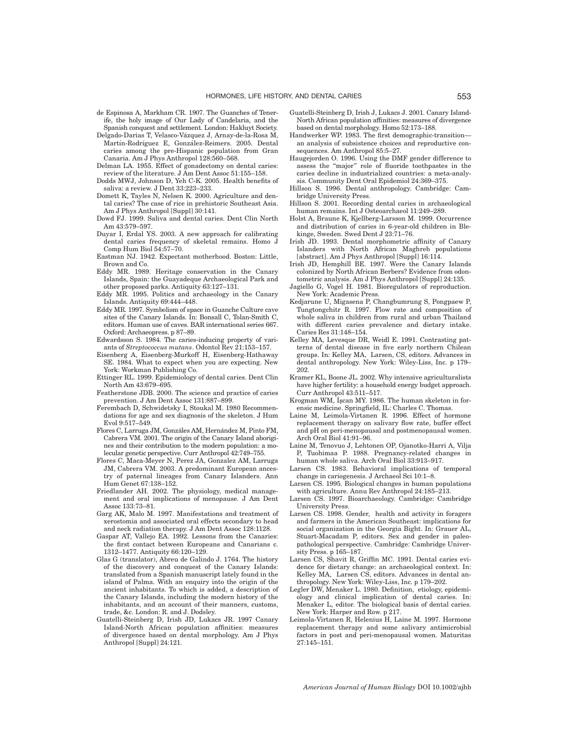- de Espinosa A, Markham CR. 1907. The Guanches of Tenerife, the holy image of Our Lady of Candelaria, and the Spanish conquest and settlement. London: Hakluyt Society.
- Delgado-Darias T, Velasco-Va´zquez J, Arnay-de-la-Rosa M, Martín-Rodríguez E, González-Reimers. 2005. Dental caries among the pre-Hispanic population from Gran Canaria. Am J Phys Anthropol 128:560–568.
- Delman LA. 1955. Effect of gonadectomy on dental caries: review of the literature. J Am Dent Assoc 51:155–158.
- Dodds MWJ, Johnson D, Yeh C-K. 2005. Health benefits of saliva: a review. J Dent 33:223–233.
- Domett K, Tayles N, Nelsen K. 2000. Agriculture and dental caries? The case of rice in prehistoric Southeast Asia. Am J Phys Anthropol [Suppl] 30:141.
- Dowd FJ. 1999. Saliva and dental caries. Dent Clin North Am 43:579–597.
- Duyar I, Erdal YS. 2003. A new approach for calibrating dental caries frequency of skeletal remains. Homo J Comp Hum Biol 54:57–70.
- Eastman NJ. 1942. Expectant motherhood. Boston: Little, Brown and Co.
- Eddy MR. 1989. Heritage conservation in the Canary Islands, Spain: the Guayadeque Archaeological Park and other proposed parks. Antiquity 63:127–131.
- Eddy MR. 1995. Politics and archaeology in the Canary Islands. Antiquity 69:444–448.
- Eddy MR. 1997. Symbolism of space in Guanche Culture cave sites of the Canary Islands. In: Bonsall C, Tolan-Smith C, editors. Human use of caves. BAR international series 667. Oxford: Archaeopress. p 87–89.
- Edwardsson S. 1984. The caries-inducing property of variants of Streptococcus mutans. Odontol Rev 21:153–157.
- Eisenberg A, Eisenberg-Murkoff H, Eisenberg-Hathaway SE. 1984. What to expect when you are expecting. New York: Workman Publishing Co.
- Ettinger RL. 1999. Epidemiology of dental caries. Dent Clin North Am 43:679–695.
- Featherstone JDB. 2000. The science and practice of caries prevention. J Am Dent Assoc 131:887–899.
- Ferembach D, Schwidetsky I, Stoukal M. 1980 Recommendations for age and sex diagnosis of the skeleton. J Hum Evol 9:517–549.
- Flores C, Larruga JM, Gonzáles AM, Hernández M, Pinto FM, Cabrera VM. 2001. The origin of the Canary Island aborigines and their contribution to the modern population: a molecular genetic perspective. Curr Anthropol 42:749–755.
- Flores C, Maca-Meyer N, Perez JA, Gonzalez AM, Larruga JM, Cabrera VM. 2003. A predominant European ancestry of paternal lineages from Canary Islanders. Ann Hum Genet 67:138–152.
- Friedlander AH. 2002. The physiology, medical management and oral implications of menopause. J Am Dent Assoc 133:73–81.
- Garg AK, Malo M. 1997. Manifestations and treatment of xerostomia and associated oral effects secondary to head and neck radiation therapy. J Am Dent Assoc 128:1128.
- Gaspar AT, Vallejo EA. 1992. Lessons from the Canaries: the first contact between Europeans and Canarians c. 1312–1477. Antiquity 66:120–129.
- Glas G (translator), Abreu de Galindo J. 1764. The history of the discovery and conquest of the Canary Islands: translated from a Spanish manuscript lately found in the island of Palma. With an enquiry into the origin of the ancient inhabitants. To which is added, a description of the Canary Islands, including the modern history of the inhabitants, and an account of their manners, customs, trade, &c. London: R. and J. Dodsley.
- Guatelli-Steinberg D, Irish JD, Lukacs JR. 1997 Canary Island-North African population affinities: measures of divergence based on dental morphology. Am J Phys Anthropol [Suppl] 24:121.
- Guatelli-Steinberg D, Irish J, Lukacs J. 2001. Canary Island-North African population affinities: measures of divergence based on dental morphology. Homo 52:173–188.
- Handwerker WP. 1983. The first demographic-transition an analysis of subsistence choices and reproductive consequences. Am Anthropol 85:5–27.
- Haugejorden O. 1996. Using the DMF gender difference to assess the ''major'' role of fluoride toothpastes in the caries decline in industrialized countries: a meta-analysis. Community Dent Oral Epidemiol 24:369–375.
- Hillson S. 1996. Dental anthropology. Cambridge: Cambridge University Press.
- Hillson S. 2001. Recording dental caries in archaeological human remains. Int J Osteoarchaeol 11:249–289.
- Holst A, Braune K, Kjellberg-Larsson M. 1999. Occurrence and distribution of caries in 6-year-old children in Blekinge, Sweden. Swed Dent J 23:71–76.
- Irish JD. 1993. Dental morphometric affinity of Canary Islanders with North African Maghreb populations [abstract]. Am J Phys Anthropol [Suppl] 16:114.
- Irish JD, Hemphill BE. 1997. Were the Canary Islands colonized by North African Berbers? Evidence from odontometric analysis. Am J Phys Anthropol [Suppl] 24:135.
- Jagiello G, Vogel H. 1981. Bioregulators of reproduction. New York: Academic Press.
- Kedjarune U, Migasena P, Changbumrung S, Pongpaew P, Tungtongchitr R. 1997. Flow rate and composition of whole saliva in children from rural and urban Thailand with different caries prevalence and dietary intake. Caries Res 31:148–154.
- Kelley MA, Levesque DR, Weidl E. 1991. Contrasting patterns of dental disease in five early northern Chilean groups. In: Kelley MA, Larsen, CS, editors. Advances in dental anthropology. New York: Wiley-Liss, Inc. p 179– 202.
- Kramer KL, Boone JL. 2002. Why intensive agriculturalists have higher fertility: a household energy budget approach. Curr Anthropol 43:511–517.
- Krogman WM, Iscan MY. 1986. The human skeleton in forensic medicine. Springfield, IL: Charles C. Thomas.
- Laine M, Leimola-Virtanen R. 1996. Effect of hormone replacement therapy on salivary flow rate, buffer effect and pH on peri-menopausal and postmenopausal women. Arch Oral Biol 41:91–96.
- Laine M, Tenovuo J, Lehtonen OP, Ojanotko-Harri A, Vilja P, Tuohimaa P. 1988. Pregnancy-related changes in human whole saliva. Arch Oral Biol 33:913–917.
- Larsen CS. 1983. Behavioral implications of temporal change in cariogenesis. J Archaeol Sci 10:1–8.
- Larsen CS. 1995. Biological changes in human populations with agriculture. Annu Rev Anthropol 24:185–213.
- Larsen CS. 1997. Bioarchaeology. Cambridge: Cambridge University Press.
- Larsen CS. 1998. Gender, health and activity in foragers and farmers in the American Southeast: implications for social organization in the Georgia Bight. In: Grauer AL, Stuart-Macadam P, editors. Sex and gender in paleopathological perspective. Cambridge: Cambridge University Press. p 165–187.
- Larsen CS, Shavit R, Griffin MC. 1991. Dental caries evidence for dietary change: an archaeological context. In: Kelley MA, Larsen CS, editors. Advances in dental anthropology. New York: Wiley-Liss, Inc. p 179–202.
- Legler DW, Menaker L. 1980. Definition, etiology, epidemiology and clinical implication of dental caries. In: Menaker L, editor. The biological basis of dental caries. New York: Harper and Row. p 217.
- Leimola-Virtanen R, Helenius H, Laine M. 1997. Hormone replacement therapy and some salivary antimicrobial factors in post and peri-menopausal women. Maturitas 27:145–151.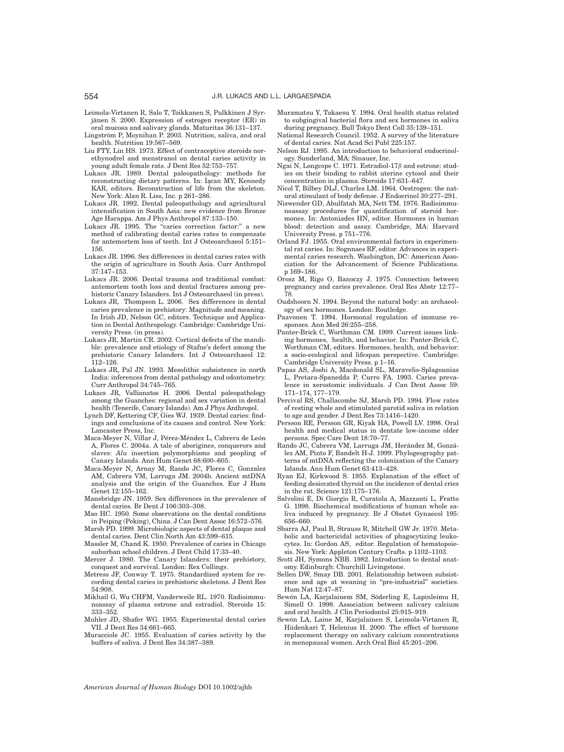- Leimola-Virtanen R, Salo T, Toikkanen S, Pulkkinen J Syrjänen S. 2000. Expression of estrogen receptor (ER) in oral mucosa and salivary glands. Maturitas 36:131–137.
- Lingström P, Moynihan P. 2003. Nutrition, saliva, and oral health. Nutrition 19:567–569.
- Liu FTY, Lin HS. 1973. Effect of contraceptive steroids norethynodrel and menstranol on dental caries activity in young adult female rats. J Dent Res 52:753–757.
- Lukacs JR. 1989. Dental paleopathology: methods for reconstructing dietary patterns. In: Iscan MY, Kennedy KAR, editors. Reconstruction of life from the skeleton. New York: Alan R. Liss, Inc. p 261–286.
- Lukacs JR. 1992. Dental paleopathology and agricultural intensification in South Asia: new evidence from Bronze Age Harappa. Am J Phys Anthropol 87:133–150.
- Lukacs JR. 1995. The "caries correction factor:" a new method of calibrating dental caries rates to compensate for antemortem loss of teeth. Int J Osteoarchaeol 5:151– 156.
- Lukacs JR. 1996. Sex differences in dental caries rates with the origin of agriculture in South Asia. Curr Anthropol 37:147–153.
- Lukacs JR. 2006. Dental trauma and traditional combat: antemortem tooth loss and dental fractures among prehistoric Canary Islanders. Int J Osteoarchaeol (in press).
- Lukacs JR, Thompson L. 2006. Sex differences in dental caries prevalence in prehistory: Magnitude and meaning. In Irish JD, Nelson GC, editors. Technique and Application in Dental Anthropology. Cambridge: Cambridge University Press. (in press).
- Lukacs JR, Martin CR. 2002. Cortical defects of the mandible: prevalence and etiology of Stafne's defect among the prehistoric Canary Islanders. Int J Osteoarchaeol 12: 112–126.
- Lukacs JR, Pal JN. 1993. Mesolithic subsistence in north India: inferences from dental pathology and odontometry. Curr Anthropol 34:745–765.
- Lukacs JR, Vallianatos H. 2006. Dental paleopathology among the Guanches: regional and sex variation in dental health (Tenerife, Canary Islands). Am J Phys Anthropol.
- Lynch DF, Kettering CF, Gies WJ. 1939. Dental caries: findings and conclusions of its causes and control. New York: Lancaster Press, Inc.
- Maca-Meyer N, Villar J, Pérez-Méndez L, Cabrera de León A, Flores C. 2004a. A tale of aborigines, conquerors and slaves: Alu insertion polymorphisms and peopling of Canary Islands. Ann Hum Genet 68:600–605.
- Maca-Meyer N, Arnay M, Rando JC, Flores C, Gonzalez AM, Cabrera VM, Larruga JM. 2004b. Ancient mtDNA analysis and the origin of the Guanches. Eur J Hum Genet 12:155–162.
- Mansbridge JN. 1959. Sex differences in the prevalence of dental caries. Br Dent J 106:303–308.
- Mao HC. 1950. Some observations on the dental conditions in Peiping (Peking), China. J Can Dent Assoc 16:572–576.
- Marsh PD. 1999. Microbiologic aspects of dental plaque and dental caries. Dent Clin North Am 43:599–615.
- Massler M, Chand K. 1950. Prevalence of caries in Chicago suburban school children. J Dent Child 17:33–40.
- Mercer J. 1980. The Canary Islanders: their prehistory, conquest and survival. London: Rex Collings.
- Metress JF, Conway T. 1975. Standardized system for recording dental caries in prehistoric skeletons. J Dent Res 54:908.
- Mikhail G, Wu CHFM, Vanderweile RL. 1970. Radioimmunoassay of plasma estrone and estradiol. Steroids 15: 333–352.
- Muhler JD, Shafer WG. 1955. Experimental dental caries VII. J Dent Res 34:661–665.
- Muracciole JC. 1955. Evaluation of caries activity by the buffers of saliva. J Dent Res 34:387–389.
- Muramatsu Y, Takaesu Y. 1994. Oral health status related to subgingival bacterial flora and sex hormones in saliva during pregnancy. Bull Tokyo Dent Coll 35:139–151.
- National Research Council. 1952. A survey of the literature of dental caries. Nat Acad Sci Publ 225:157.
- Nelson RJ. 1995. An introduction to behavioral endocrinology. Sunderland, MA: Sinauer, Inc.
- Ngai N, Longcope C. 1971. Estradiol-17 $\beta$  and estrone: studies on their binding to rabbit uterine cytosol and their concentration in plasma. Steroids 17:631–647.
- Nicol T, Bilbey DLJ, Charles LM. 1964. Oestrogen: the natural stimulant of body defense. J Endocrinol 30:277–291.
- Niswender GD, Abulfatah MA, Nett TM. 1976. Radioimmunoassay procedures for quantification of steroid hor-mones. In: Antoniades HN, editor. Hormones in human blood: detection and assay. Cambridge, MA: Harvard University Press. p 751–776.
- Orland FJ. 1955. Oral environmental factors in experimental rat caries. In: Sognnaes RF, editor. Advances in experimental caries research. Washington, DC: American Association for the Advancement of Science Publications. p 169–186.
- Orosz M, Rigo O, Banoczy J. 1975. Connection between pregnancy and caries prevalence. Oral Res Abstr 12:77– 78.
- Oudshoorn N. 1994. Beyond the natural body: an archaeology of sex hormones. London: Routledge.
- Paavonen T. 1994. Hormonal regulation of immune responses. Ann Med 26:255–258.
- Panter-Brick C, Worthman CM. 1999. Current issues linking hormones, health, and behavior. In: Panter-Brick C, Worthman CM, editors. Hormones, health, and behavior: a socio-ecological and lifespan perspective. Cambridge: Cambridge University Press. p 1–16.
- Papas AS, Joshi A, Macdonald SL, Maravelis-Splagounias L, Pretara-Spanedda P, Curro FA. 1993. Caries prevalence in xerostomic individuals. J Can Dent Assoc 59: 171–174, 177–179.
- Percival RS, Challacombe SJ, Marsh PD. 1994. Flow rates of resting whole and stimulated parotid saliva in relation to age and gender. J Dent Res 73:1416–1420.
- Persson RE, Persson GR, Kiyak HA, Powell LV. 1998. Oral health and medical status in dentate low-income older persons. Spec Care Dent 18:70–77.
- Rando JC, Cabrera VM, Larruga JM, Herández M, González AM, Pinto F, Bandelt H-J. 1999. Phylogeography patterns of mtDNA reflecting the colonization of the Canary Islands. Ann Hum Genet 63:413–428.
- Ryan EJ, Kirkwood S. 1955. Explanation of the effect of feeding desiccated thyroid on the incidence of dental cries in the rat. Science 121:175–176.
- Salvolini E, Di Giorgio R, Curatola A, Mazzanti L, Fratto G. 1998. Biochemical modifications of human whole saliva induced by pregnancy. Br J Obstet Gynaecol 195: 656–660.
- Sbarra AJ, Paul B, Strauss R, Mitchell GW Jr. 1970. Metabolic and bactericidal activities of phagocytizing leukocytes. In: Gordon AS, editor. Regulation of hematopoiesis. New York: Appleton Century Crafts. p 1102–1103.
- Scott JH, Symons NBB. 1982. Introduction to dental anatomy. Edinburgh: Churchill Livingstone.
- Sellen DW, Smay DB. 2001. Relationship between subsistence and age at weaning in ''pre-industrial'' societies. Hum Nat 12:47–87.
- Sewón LA, Karjalainem SM, Söderling E, Lapinleimu H, Simell O. 1998. Association between salivary calcium and oral health. J Clin Periodontol 25:915–919.
- Sewón LA, Laine M, Karjalainen S, Leimola-Virtanen R, Hiidenkari T, Helenius H. 2000. The effect of hormone replacement therapy on salivary calcium concentrations in menopausal women. Arch Oral Biol 45:201–206.